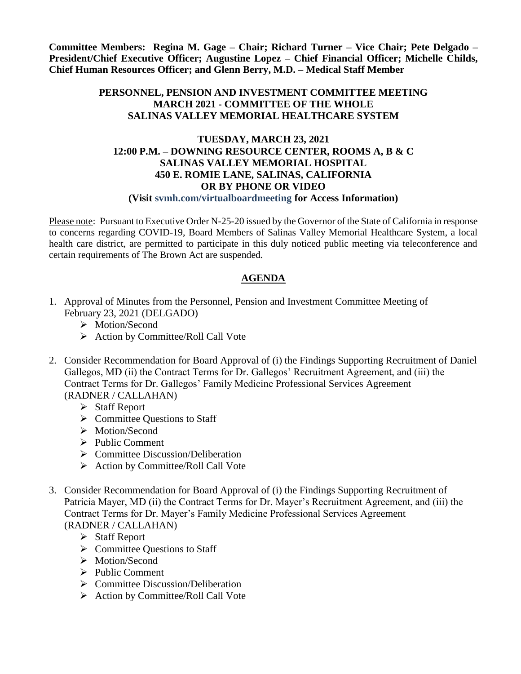**Committee Members: Regina M. Gage – Chair; Richard Turner – Vice Chair; Pete Delgado – President/Chief Executive Officer; Augustine Lopez – Chief Financial Officer; Michelle Childs, Chief Human Resources Officer; and Glenn Berry, M.D. – Medical Staff Member**

## **PERSONNEL, PENSION AND INVESTMENT COMMITTEE MEETING MARCH 2021 - COMMITTEE OF THE WHOLE SALINAS VALLEY MEMORIAL HEALTHCARE SYSTEM**

## **TUESDAY, MARCH 23, 2021 12:00 P.M. – DOWNING RESOURCE CENTER, ROOMS A, B & C SALINAS VALLEY MEMORIAL HOSPITAL 450 E. ROMIE LANE, SALINAS, CALIFORNIA OR BY PHONE OR VIDEO (Visit svmh.com/virtualboardmeeting for Access Information)**

Please note: Pursuant to Executive Order N-25-20 issued by the Governor of the State of California in response to concerns regarding COVID-19, Board Members of Salinas Valley Memorial Healthcare System, a local health care district, are permitted to participate in this duly noticed public meeting via teleconference and certain requirements of The Brown Act are suspended.

## **AGENDA**

- 1. Approval of Minutes from the Personnel, Pension and Investment Committee Meeting of February 23, 2021 (DELGADO)
	- > Motion/Second
	- $\triangleright$  Action by Committee/Roll Call Vote
- 2. Consider Recommendation for Board Approval of (i) the Findings Supporting Recruitment of Daniel Gallegos, MD (ii) the Contract Terms for Dr. Gallegos' Recruitment Agreement, and (iii) the Contract Terms for Dr. Gallegos' Family Medicine Professional Services Agreement (RADNER / CALLAHAN)
	- $\triangleright$  Staff Report
	- $\triangleright$  Committee Questions to Staff
	- > Motion/Second
	- $\triangleright$  Public Comment
	- $\triangleright$  Committee Discussion/Deliberation
	- $\triangleright$  Action by Committee/Roll Call Vote
- 3. Consider Recommendation for Board Approval of (i) the Findings Supporting Recruitment of Patricia Mayer, MD (ii) the Contract Terms for Dr. Mayer's Recruitment Agreement, and (iii) the Contract Terms for Dr. Mayer's Family Medicine Professional Services Agreement (RADNER / CALLAHAN)
	- $\triangleright$  Staff Report
	- $\triangleright$  Committee Ouestions to Staff
	- > Motion/Second
	- $\triangleright$  Public Comment
	- $\triangleright$  Committee Discussion/Deliberation
	- $\triangleright$  Action by Committee/Roll Call Vote